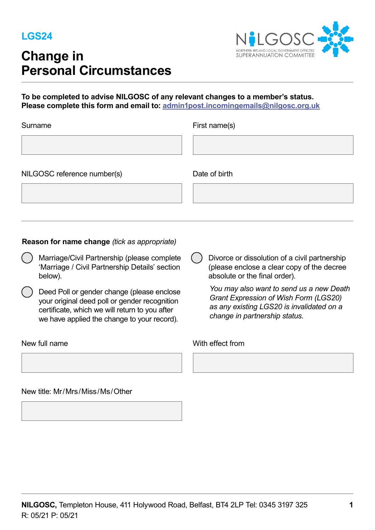

# **Change in Personal Circumstances**



## To be completed to advise NILGOSC of any relevant changes to a member's status. Please complete this form and email to: admin1post.incomingemails@nilgosc.org.uk

| Surname                     | First name(s) |
|-----------------------------|---------------|
|                             |               |
| NILGOSC reference number(s) | Date of birth |
|                             |               |

## **Reason for name change** *(tick as appropriate)*

- $\mathbf{r}$ Marriage/Civil Partnership (please complete 'Marriage / Civil Partnership Details' section below).
- $\mathbf{r}$ Deed Poll or gender change (please enclose your original deed poll or gender recognition certificate, which we will return to you after we have applied the change to your record).

New title: Mr/Mrs/Miss/Ms/Other

 $\overline{a}$ Divorce or dissolution of a civil partnership (please enclose a clear copy of the decree absolute or the final order).

*You may also want to send us a new Death Grant Expression of Wish Form (LGS20) as any existing LGS20 is invalidated on a change in partnership status.* 

#### New full name **With effect from**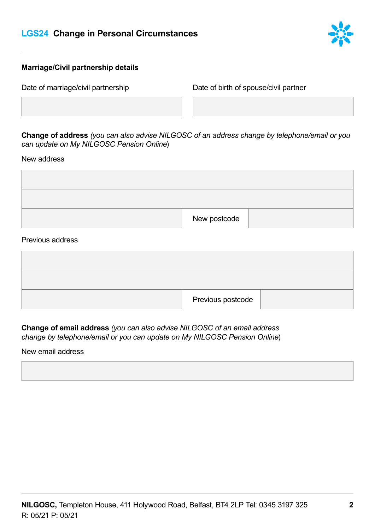# **LGS24 Change in Personal Circumstances**



### **Marriage/Civil partnership details**

Date of marriage/civil partnership Date of birth of spouse/civil partner

**Change of address** *(you can also advise NILGOSC of an address change by telephone/email or you can update on My NILGOSC Pension Online*)

New address

| New postcode |  |
|--------------|--|

#### Previous address

| Previous postcode |  |
|-------------------|--|

**Change of email address** *(you can also advise NILGOSC of an email address change by telephone/email or you can update on My NILGOSC Pension Online*)

New email address